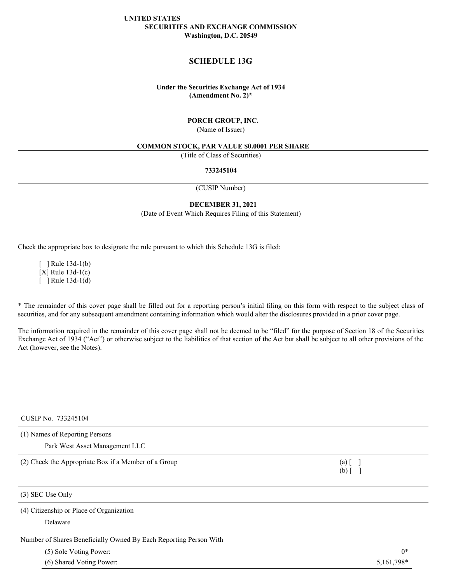# **UNITED STATES SECURITIES AND EXCHANGE COMMISSION Washington, D.C. 20549**

# **SCHEDULE 13G**

# **Under the Securities Exchange Act of 1934 (Amendment No. 2)\***

# **PORCH GROUP, INC.**

(Name of Issuer)

#### **COMMON STOCK, PAR VALUE \$0.0001 PER SHARE**

(Title of Class of Securities)

#### **733245104**

(CUSIP Number)

#### **DECEMBER 31, 2021**

(Date of Event Which Requires Filing of this Statement)

Check the appropriate box to designate the rule pursuant to which this Schedule 13G is filed:

 $\lceil$  ] Rule 13d-1(b) [X] Rule 13d-1(c)  $\lceil$  ] Rule 13d-1(d)

\* The remainder of this cover page shall be filled out for a reporting person's initial filing on this form with respect to the subject class of securities, and for any subsequent amendment containing information which would alter the disclosures provided in a prior cover page.

The information required in the remainder of this cover page shall not be deemed to be "filed" for the purpose of Section 18 of the Securities Exchange Act of 1934 ("Act") or otherwise subject to the liabilities of that section of the Act but shall be subject to all other provisions of the Act (however, see the Notes).

# CUSIP No. 733245104

| (1) Names of Reporting Persons                       |                           |  |  |  |
|------------------------------------------------------|---------------------------|--|--|--|
| Park West Asset Management LLC                       |                           |  |  |  |
| (2) Check the Appropriate Box if a Member of a Group | $(a)$ $\lceil$<br>$(b)$ [ |  |  |  |
| $(3)$ SEC Use Only                                   |                           |  |  |  |
| (4) Citizenship or Place of Organization             |                           |  |  |  |

Delaware

Number of Shares Beneficially Owned By Each Reporting Person With

(5) Sole Voting Power: 0\*

(6) Shared Voting Power: 5,161,798\*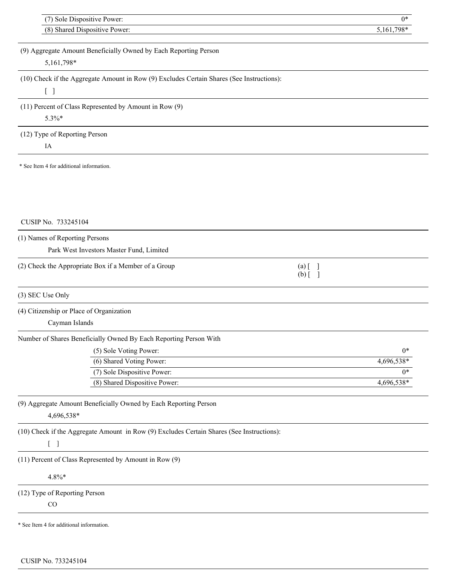|                                          | (7) Sole Dispositive Power:                                                               |                                                      | $0*$       |
|------------------------------------------|-------------------------------------------------------------------------------------------|------------------------------------------------------|------------|
|                                          | (8) Shared Dispositive Power:                                                             |                                                      | 5,161,798* |
|                                          | (9) Aggregate Amount Beneficially Owned by Each Reporting Person                          |                                                      |            |
| 5,161,798*                               |                                                                                           |                                                      |            |
|                                          |                                                                                           |                                                      |            |
|                                          | (10) Check if the Aggregate Amount in Row (9) Excludes Certain Shares (See Instructions): |                                                      |            |
| $[$ $]$                                  |                                                                                           |                                                      |            |
|                                          | (11) Percent of Class Represented by Amount in Row (9)                                    |                                                      |            |
| 5.3%*                                    |                                                                                           |                                                      |            |
| (12) Type of Reporting Person            |                                                                                           |                                                      |            |
| IA                                       |                                                                                           |                                                      |            |
| * See Item 4 for additional information. |                                                                                           |                                                      |            |
|                                          |                                                                                           |                                                      |            |
|                                          |                                                                                           |                                                      |            |
|                                          |                                                                                           |                                                      |            |
|                                          |                                                                                           |                                                      |            |
| CUSIP No. 733245104                      |                                                                                           |                                                      |            |
| (1) Names of Reporting Persons           |                                                                                           |                                                      |            |
|                                          | Park West Investors Master Fund, Limited                                                  |                                                      |            |
|                                          | (2) Check the Appropriate Box if a Member of a Group                                      |                                                      |            |
|                                          |                                                                                           | $(a)$ $\begin{bmatrix} 1 \end{bmatrix}$<br>$(b)$ [ ] |            |
|                                          |                                                                                           |                                                      |            |
| (3) SEC Use Only                         |                                                                                           |                                                      |            |
| (4) Citizenship or Place of Organization |                                                                                           |                                                      |            |
| Cayman Islands                           |                                                                                           |                                                      |            |
|                                          | Number of Shares Beneficially Owned By Each Reporting Person With                         |                                                      |            |
|                                          | (5) Sole Voting Power:                                                                    |                                                      | $0*$       |
|                                          | (6) Shared Voting Power:                                                                  |                                                      | 4,696,538* |
|                                          | (7) Sole Dispositive Power:                                                               |                                                      | $0*$       |
|                                          | (8) Shared Dispositive Power:                                                             |                                                      | 4,696,538* |
|                                          |                                                                                           |                                                      |            |
|                                          | (9) Aggregate Amount Beneficially Owned by Each Reporting Person                          |                                                      |            |
| 4,696,538*                               |                                                                                           |                                                      |            |
|                                          | (10) Check if the Aggregate Amount in Row (9) Excludes Certain Shares (See Instructions): |                                                      |            |
| $\begin{bmatrix} 1 \end{bmatrix}$        |                                                                                           |                                                      |            |
|                                          | (11) Percent of Class Represented by Amount in Row (9)                                    |                                                      |            |
| $4.8\%*$                                 |                                                                                           |                                                      |            |
|                                          |                                                                                           |                                                      |            |
| (12) Type of Reporting Person            |                                                                                           |                                                      |            |
| CO                                       |                                                                                           |                                                      |            |
| * See Item 4 for additional information. |                                                                                           |                                                      |            |

CUSIP No. 733245104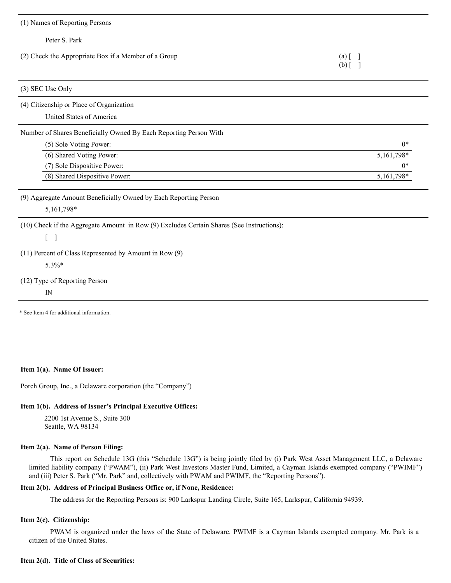| (1) Names of Reporting Persons                                                            |                                                  |
|-------------------------------------------------------------------------------------------|--------------------------------------------------|
| Peter S. Park                                                                             |                                                  |
| (2) Check the Appropriate Box if a Member of a Group                                      | $(a)$ $\begin{bmatrix} 1 \end{bmatrix}$<br>$(b)$ |
| (3) SEC Use Only                                                                          |                                                  |
| (4) Citizenship or Place of Organization<br>United States of America                      |                                                  |
| Number of Shares Beneficially Owned By Each Reporting Person With                         |                                                  |
| (5) Sole Voting Power:                                                                    | $0*$                                             |
| (6) Shared Voting Power:                                                                  | $5,161,798*$                                     |
| (7) Sole Dispositive Power:                                                               | $0*$                                             |
| (8) Shared Dispositive Power:                                                             | 5,161,798*                                       |
| (9) Aggregate Amount Beneficially Owned by Each Reporting Person<br>5,161,798*            |                                                  |
| (10) Check if the Aggregate Amount in Row (9) Excludes Certain Shares (See Instructions): |                                                  |
| $\begin{bmatrix} 1 \end{bmatrix}$                                                         |                                                  |
| (11) Percent of Class Represented by Amount in Row (9)                                    |                                                  |
| 5.3%*                                                                                     |                                                  |
| (12) Type of Reporting Person                                                             |                                                  |
| $\mathbb{N}$                                                                              |                                                  |
| * See Item 4 for additional information.                                                  |                                                  |

#### **Item 1(a). Name Of Issuer:**

Porch Group, Inc., a Delaware corporation (the "Company")

# **Item 1(b). Address of Issuer's Principal Executive Offices:**

2200 1st Avenue S., Suite 300 Seattle, WA 98134

# **Item 2(a). Name of Person Filing:**

This report on Schedule 13G (this "Schedule 13G") is being jointly filed by (i) Park West Asset Management LLC, a Delaware limited liability company ("PWAM"), (ii) Park West Investors Master Fund, Limited, a Cayman Islands exempted company ("PWIMF") and (iii) Peter S. Park ("Mr. Park" and, collectively with PWAM and PWIMF, the "Reporting Persons").

# **Item 2(b). Address of Principal Business Office or, if None, Residence:**

The address for the Reporting Persons is: 900 Larkspur Landing Circle, Suite 165, Larkspur, California 94939.

# **Item 2(c). Citizenship:**

PWAM is organized under the laws of the State of Delaware. PWIMF is a Cayman Islands exempted company. Mr. Park is a citizen of the United States.

# **Item 2(d). Title of Class of Securities:**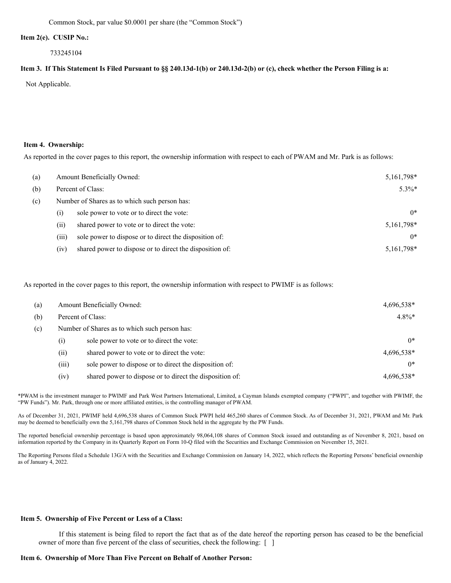Common Stock, par value \$0.0001 per share (the "Common Stock")

#### **Item 2(e). CUSIP No.:**

733245104

#### Item 3. If This Statement Is Filed Pursuant to §§ 240.13d-1(b) or 240.13d-2(b) or (c), check whether the Person Filing is a:

Not Applicable.

#### **Item 4. Ownership:**

As reported in the cover pages to this report, the ownership information with respect to each of PWAM and Mr. Park is as follows:

| (a) | Amount Beneficially Owned:                    |                                                          | 5,161,798* |
|-----|-----------------------------------------------|----------------------------------------------------------|------------|
| (b) |                                               | Percent of Class:                                        | $5.3\%*$   |
| (c) | Number of Shares as to which such person has: |                                                          |            |
|     | $\left( 1\right)$                             | sole power to vote or to direct the vote:                | $0*$       |
|     | (i)                                           | shared power to vote or to direct the vote:              | 5,161,798* |
|     | (iii)                                         | sole power to dispose or to direct the disposition of:   | $0*$       |
|     | (iv)                                          | shared power to dispose or to direct the disposition of: | 5,161,798* |

As reported in the cover pages to this report, the ownership information with respect to PWIMF is as follows:

| (a) | Amount Beneficially Owned:                    |                                                          | 4,696,538* |
|-----|-----------------------------------------------|----------------------------------------------------------|------------|
| (b) |                                               | Percent of Class:                                        | $4.8\%*$   |
| (c) | Number of Shares as to which such person has: |                                                          |            |
|     | (i)                                           | sole power to vote or to direct the vote:                | $0*$       |
|     | (ii)                                          | shared power to vote or to direct the vote:              | 4,696,538* |
|     | (iii)                                         | sole power to dispose or to direct the disposition of:   | $0*$       |
|     | (iv)                                          | shared power to dispose or to direct the disposition of: | 4,696,538* |

\*PWAM is the investment manager to PWIMF and Park West Partners International, Limited, a Cayman Islands exempted company ("PWPI", and together with PWIMF, the "PW Funds"). Mr. Park, through one or more affiliated entities, is the controlling manager of PWAM.

As of December 31, 2021, PWIMF held 4,696,538 shares of Common Stock PWPI held 465,260 shares of Common Stock. As of December 31, 2021, PWAM and Mr. Park may be deemed to beneficially own the 5,161,798 shares of Common Stock held in the aggregate by the PW Funds.

The reported beneficial ownership percentage is based upon approximately 98,064,108 shares of Common Stock issued and outstanding as of November 8, 2021, based on information reported by the Company in its Quarterly Report on Form 10-Q filed with the Securities and Exchange Commission on November 15, 2021.

The Reporting Persons filed a Schedule 13G/A with the Securities and Exchange Commission on January 14, 2022, which reflects the Reporting Persons' beneficial ownership as of January 4, 2022.

#### **Item 5. Ownership of Five Percent or Less of a Class:**

If this statement is being filed to report the fact that as of the date hereof the reporting person has ceased to be the beneficial owner of more than five percent of the class of securities, check the following: [ ]

## **Item 6. Ownership of More Than Five Percent on Behalf of Another Person:**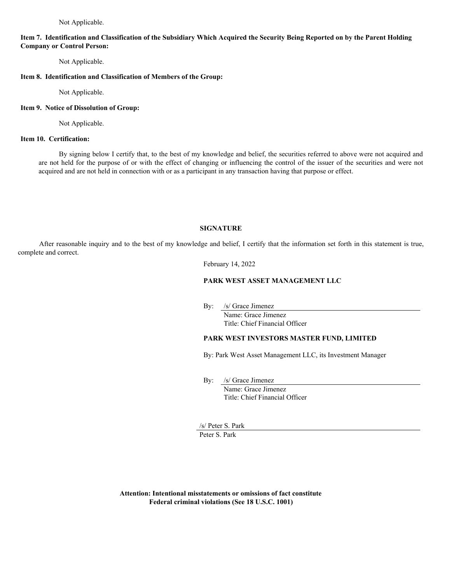Not Applicable.

# Item 7. Identification and Classification of the Subsidiary Which Acquired the Security Being Reported on by the Parent Holding **Company or Control Person:**

Not Applicable.

# **Item 8. Identification and Classification of Members of the Group:**

Not Applicable.

#### **Item 9. Notice of Dissolution of Group:**

Not Applicable.

# **Item 10. Certification:**

By signing below I certify that, to the best of my knowledge and belief, the securities referred to above were not acquired and are not held for the purpose of or with the effect of changing or influencing the control of the issuer of the securities and were not acquired and are not held in connection with or as a participant in any transaction having that purpose or effect.

# **SIGNATURE**

After reasonable inquiry and to the best of my knowledge and belief, I certify that the information set forth in this statement is true, complete and correct.

February 14, 2022

# **PARK WEST ASSET MANAGEMENT LLC**

By: /s/ Grace Jimenez

Name: Grace Jimenez Title: Chief Financial Officer

# **PARK WEST INVESTORS MASTER FUND, LIMITED**

By: Park West Asset Management LLC, its Investment Manager

By: /s/ Grace Jimenez

Name: Grace Jimenez Title: Chief Financial Officer

/s/ Peter S. Park Peter S. Park

**Attention: Intentional misstatements or omissions of fact constitute Federal criminal violations (See 18 U.S.C. 1001)**